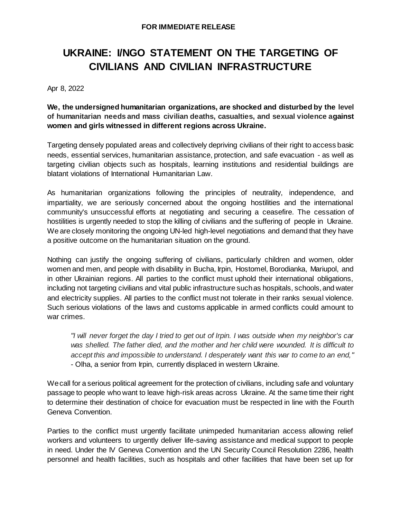## **UKRAINE: I/NGO STATEMENT ON THE TARGETING OF CIVILIANS AND CIVILIAN INFRASTRUCTURE**

Apr 8, 2022

**We, the undersigned humanitarian organizations, are shocked and disturbed by the level of humanitarian needs and mass civilian deaths, casualties, and sexual violence against women and girls witnessed in different regions across Ukraine.**

Targeting densely populated areas and collectively depriving civilians of their right to access basic needs, essential services, humanitarian assistance, protection, and safe evacuation - as well as targeting civilian objects such as hospitals, learning institutions and residential buildings are blatant violations of International Humanitarian Law.

As humanitarian organizations following the principles of neutrality, independence, and impartiality, we are seriously concerned about the ongoing hostilities and the international community's unsuccessful efforts at negotiating and securing a ceasefire. The cessation of hostilities is urgently needed to stop the killing of civilians and the suffering of people in Ukraine. We are closely monitoring the ongoing UN-led high-level negotiations and demand that they have a positive outcome on the humanitarian situation on the ground.

Nothing can justify the ongoing suffering of civilians, particularly children and women, older women and men, and people with disability in Bucha, Irpin, Hostomel, Borodianka, Mariupol, and in other Ukrainian regions. All parties to the conflict must uphold their international obligations, including not targeting civilians and vital public infrastructure such as hospitals, schools, and water and electricity supplies. All parties to the conflict must not tolerate in their ranks sexual violence. Such serious violations of the laws and customs applicable in armed conflicts could amount to war crimes.

*"I will never forget the day I tried to get out of Irpin. I was outside when my neighbor's car was shelled. The father died, and the mother and her child were wounded. It is difficult to accept this and impossible to understand. I desperately want this war to come to an end,"*  - Olha, a senior from Irpin, currently displaced in western Ukraine.

We call for a serious political agreement for the protection of civilians, including safe and voluntary passage to people who want to leave high-risk areas across Ukraine. At the same time their right to determine their destination of choice for evacuation must be respected in line with the Fourth Geneva Convention.

Parties to the conflict must urgently facilitate unimpeded humanitarian access allowing relief workers and volunteers to urgently deliver life-saving assistance and medical support to people in need. Under the IV Geneva Convention and the UN Security Council Resolution 2286, health personnel and health facilities, such as hospitals and other facilities that have been set up for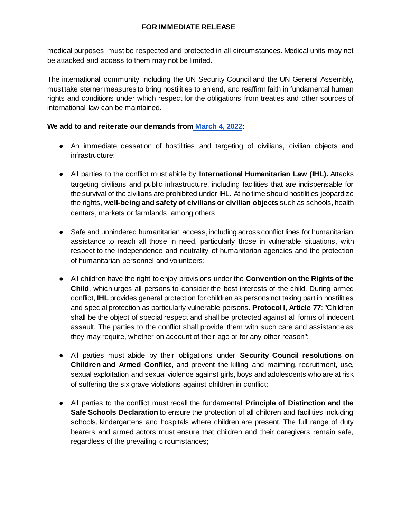## **FOR IMMEDIATE RELEASE**

medical purposes, must be respected and protected in all circumstances. Medical units may not be attacked and access to them may not be limited. 

The international community, including the UN Security Council and the UN General Assembly, must take sterner measures to bring hostilities to an end, and reaffirm faith in fundamental human rights and conditions under which respect for the obligations from treaties and other sources of international law can be maintained.

## **We add to and reiterate our demands from [March 4, 2022:](https://reliefweb.int/report/ukraine/joint-ingo-statement-humanitarian-protection-and-access-ukraine-enruuk)**

- An immediate cessation of hostilities and targeting of civilians, civilian objects and infrastructure;
- All parties to the conflict must abide by **International Humanitarian Law (IHL).** Attacks targeting civilians and public infrastructure, including facilities that are indispensable for the survival of the civilians are prohibited under IHL. At no time should hostilities jeopardize the rights, **well-being and safety of civilians or civilian objects** such as schools, health centers, markets or farmlands, among others;
- Safe and unhindered humanitarian access, including across conflict lines for humanitarian assistance to reach all those in need, particularly those in vulnerable situations, with respect to the independence and neutrality of humanitarian agencies and the protection of humanitarian personnel and volunteers;
- All children have the right to enjoy provisions under the **Convention on the Rights of the Child**, which urges all persons to consider the best interests of the child. During armed conflict, **IHL** provides general protection for children as persons not taking part in hostilities and special protection as particularly vulnerable persons. **Protocol I, Article 77**: "Children shall be the object of special respect and shall be protected against all forms of indecent assault. The parties to the conflict shall provide them with such care and assistance as they may require, whether on account of their age or for any other reason";
- All parties must abide by their obligations under **Security Council resolutions on Children and Armed Conflict**, and prevent the killing and maiming, recruitment, use, sexual exploitation and sexual violence against girls, boys and adolescents who are at risk of suffering the six grave violations against children in conflict;
- All parties to the conflict must recall the fundamental **Principle of Distinction and the Safe Schools Declaration** to ensure the protection of all children and facilities including schools, kindergartens and hospitals where children are present. The full range of duty bearers and armed actors must ensure that children and their caregivers remain safe, regardless of the prevailing circumstances;